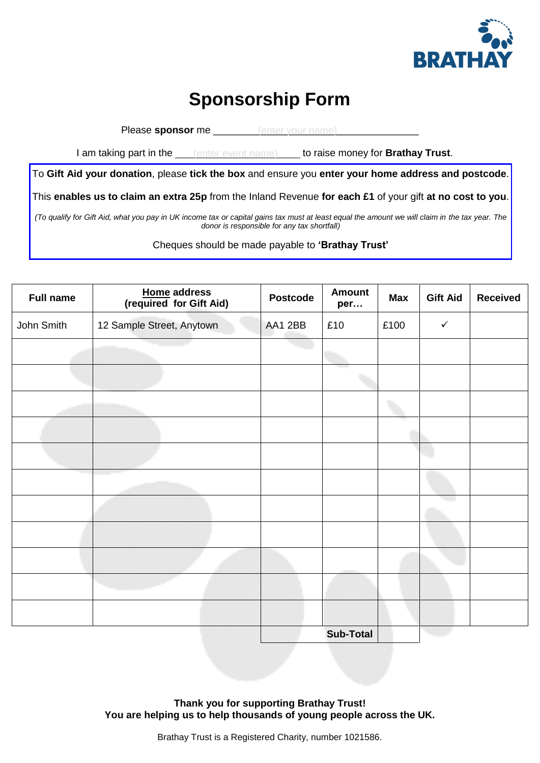

## **Sponsorship Form**

Please **sponsor** me \_\_\_\_\_\_\_\_\_\_\_\_\_\_\_\_\_\_\_\_\_\_\_\_\_\_\_\_\_\_\_\_\_\_\_\_\_ (enter your name)

I am taking part in the **the leap of the ratio raise money for Brathay Trust**.

To **Gift Aid your donation**, please **tick the box** and ensure you **enter your home address and postcode**.

This **enables us to claim an extra 25p** from the Inland Revenue **for each £1** of your gift **at no cost to you**.

*(To qualify for Gift Aid, what you pay in UK income tax or capital gains tax must at least equal the amount we will claim in the tax year. The donor is responsible for any tax shortfall)*

Cheques should be made payable to **'Brathay Trust'**

| <b>Full name</b> | <b>Home address</b><br>(required for Gift Aid) | <b>Postcode</b> | <b>Amount</b><br>per | <b>Max</b> | <b>Gift Aid</b> | <b>Received</b> |
|------------------|------------------------------------------------|-----------------|----------------------|------------|-----------------|-----------------|
| John Smith       | 12 Sample Street, Anytown                      | AA1 2BB         | £10                  | £100       | $\checkmark$    |                 |
|                  |                                                |                 |                      |            |                 |                 |
|                  |                                                |                 |                      |            |                 |                 |
|                  |                                                |                 |                      |            |                 |                 |
|                  |                                                |                 |                      |            |                 |                 |
|                  |                                                |                 |                      |            |                 |                 |
|                  |                                                |                 |                      |            |                 |                 |
|                  |                                                |                 |                      |            |                 |                 |
|                  |                                                |                 |                      |            |                 |                 |
|                  |                                                |                 |                      |            |                 |                 |
|                  |                                                |                 |                      |            |                 |                 |
|                  |                                                |                 |                      |            |                 |                 |
|                  |                                                |                 | <b>Sub-Total</b>     |            |                 |                 |

**Thank you for supporting Brathay Trust! You are helping us to help thousands of young people across the UK.**

Brathay Trust is a Registered Charity, number 1021586.